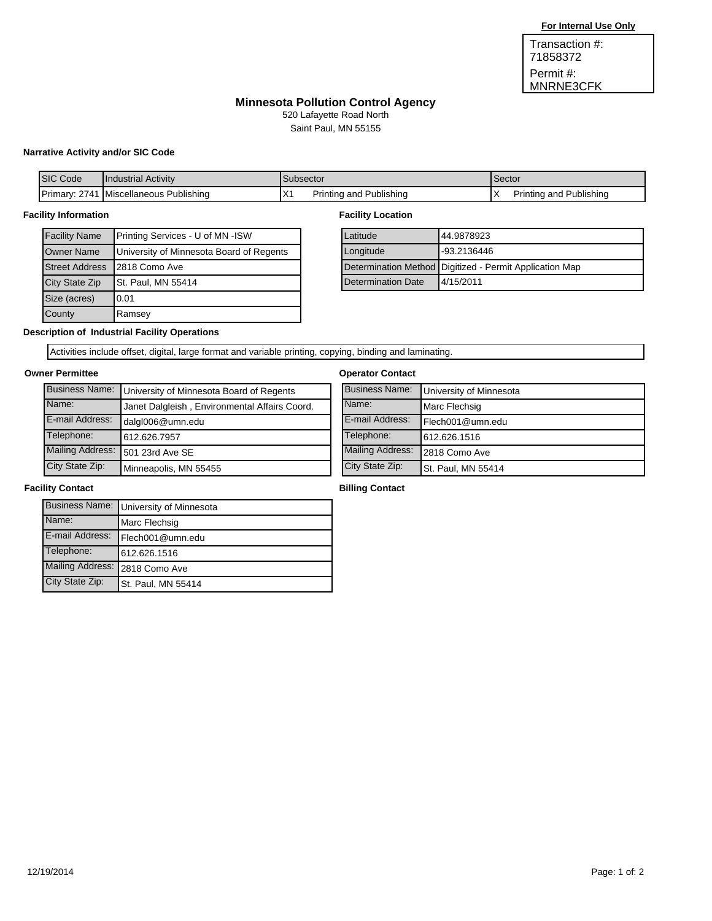Permit #: MNRNE3CFK Transaction #: 71858372

# **Minnesota Pollution Control Agency**

520 Lafayette Road North

**Industrial Stormwater Permit Application** Saint Paul, MN 55155

## **Narrative Activity and/or SIC Code**

| <b>ISIC</b><br>Code      | <b>I</b> Industrial Activity        | Subsector                                                                             | Sector                           |
|--------------------------|-------------------------------------|---------------------------------------------------------------------------------------|----------------------------------|
| 274.<br><b>IPrimary:</b> | Publishing<br><b>IMiscellaneous</b> | $\mathsf{I} \vee$<br>Publishing<br>and<br>rintina -<br>$\mathsf{I} \wedge \mathsf{I}$ | Publishina<br>Printing and<br>'^ |

#### **Facility Information**

| <b>Facility Name</b>  | Printing Services - U of MN -ISW         |  |  |
|-----------------------|------------------------------------------|--|--|
| <b>Owner Name</b>     | University of Minnesota Board of Regents |  |  |
| <b>Street Address</b> | 2818 Como Ave                            |  |  |
| City State Zip        | <b>St. Paul, MN 55414</b>                |  |  |
| Size (acres)          | 0.01                                     |  |  |
| County                | Ramsey                                   |  |  |

#### **Facility Location**

| Latitude           | 44.9878923                                              |  |
|--------------------|---------------------------------------------------------|--|
| Longitude          | -93.2136446                                             |  |
|                    | Determination Method Digitized - Permit Application Map |  |
| Determination Date | 4/15/2011                                               |  |

## **Description of Industrial Facility Operations**

Activities include offset, digital, large format and variable printing, copying, binding and laminating.

### **Owner Permittee**

| ner Permittee         |                                               | <b>Operator Contact</b> |                         |
|-----------------------|-----------------------------------------------|-------------------------|-------------------------|
| <b>Business Name:</b> | University of Minnesota Board of Regents      | <b>Business Name:</b>   | University of Minnesota |
| Name:                 | Janet Dalgleish, Environmental Affairs Coord. | Name:                   | Marc Flechsig           |
| E-mail Address:       | dalgl006@umn.edu                              | E-mail Address:         | Flech001@umn.edu        |
| Telephone:            | 612.626.7957                                  | Telephone:              | 612.626.1516            |
|                       | Mailing Address: 501 23rd Ave SE              | <b>Mailing Address:</b> | 2818 Como Ave           |
| City State Zip:       | Minneapolis, MN 55455                         | City State Zip:         | St. Paul, MN 55414      |

### **Facility Contact**

|                                | Business Name: University of Minnesota |
|--------------------------------|----------------------------------------|
| Name:                          | Marc Flechsig                          |
| E-mail Address:                | Flech001@umn.edu                       |
| Telephone:                     | 612.626.1516                           |
| Mailing Address: 2818 Como Ave |                                        |
| City State Zip:                | <b>St. Paul, MN 55414</b>              |

### **Billing Contact**